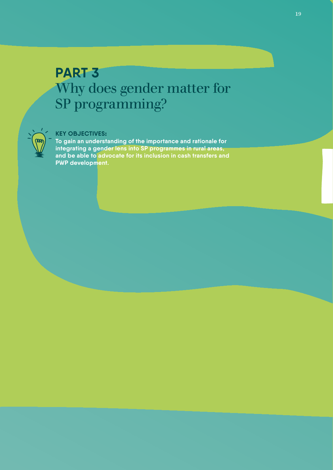# **PART 3** Why does gender matter for SP programming?



### **KEY OBJECTIVES:**

**To gain an understanding of the importance and rationale for integrating a gender lens into SP programmes in rural areas, and be able to advocate for its inclusion in cash transfers and PWP development.**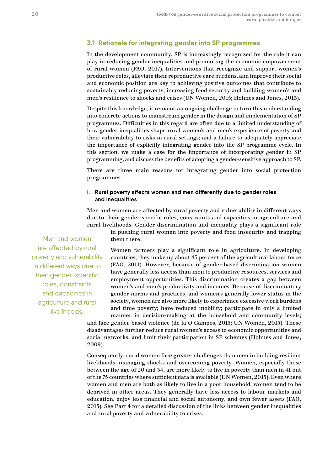## **3.1 Rationale for integrating gender into SP programmes**

In the development community, SP is increasingly recognized for the role it can play in reducing gender inequalities and promoting the economic empowerment of rural women (FAO, 2017). Interventions that recognize and support women's productive roles, alleviate their reproductive care burdens, and improve their social and economic position are key to achieving positive outcomes that contribute to sustainably reducing poverty, increasing food security and building women's and men's resilience to shocks and crises (UN Women, 2015; Holmes and Jones, 2013).

Despite this knowledge, it remains an ongoing challenge to turn this understanding into concrete actions to mainstream gender in the design and implementation of SP programmes. Difficulties in this regard are often due to a limited understanding of how gender inequalities shape rural women's and men's experience of poverty and their vulnerability to risks in rural settings; and a failure to adequately appreciate the importance of explicitly integrating gender into the SP programme cycle. In this section, we make a case for the importance of incorporating gender in SP programming, and discuss the benefits of adopting a gender-sensitive approach to SP.

There are three main reasons for integrating gender into social protection programmes.

#### **i. Rural poverty affects women and men differently due to gender roles and inequalities**

Men and women are affected by rural poverty and vulnerability in different ways due to their gender-specific roles, constraints and capacities in agriculture and rural livelihoods. Gender discrimination and inequality plays a significant role

in pushing rural women into poverty and food insecurity and trapping them there.

Men and women are affected by rural poverty and vulnerability in different ways due to their gender-specific roles, constraints and capacities in agriculture and rural livelihoods.

Women farmers play a significant role in agriculture. In developing countries, they make up about 43 percent of the agricultural labour force (FAO, 2011). However, because of gender-based discrimination women have generally less access than men to productive resources, services and employment opportunities. This discrimination creates a gap between women's and men's productivity and incomes. Because of discriminatory gender norms and practices, and women's generally lower status in the society, women are also more likely to experience excessive work burdens and time poverty; have reduced mobility; participate in only a limited manner in decision-making at the household and community levels;

and face gender-based violence (de la O Campos, 2015; UN Women, 2015). These disadvantages further reduce rural women's access to economic opportunities and social networks, and limit their participation in SP schemes (Holmes and Jones, 2009).

Consequently, rural women face greater challenges than men in building resilient livelihoods, managing shocks and overcoming poverty. Women, especially those between the age of 20 and 34, are more likely to live in poverty than men in 41 out of the 75 countries where sufficient data is available (UN Women, 2015). Even where women and men are both as likely to live in a poor household, women tend to be deprived in other areas. They generally have less access to labour markets and education, enjoy less financial and social autonomy, and own fewer assets (FAO, 2015). See Part 4 for a detailed discussion of the links between gender inequalities and rural poverty and vulnerability to crises.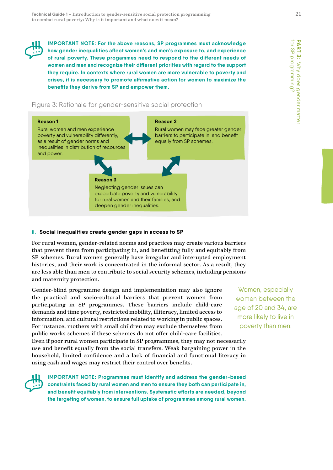

**IMPORTANT NOTE: For the above reasons, SP programmes must acknowledge how gender inequalities affect women's and men's exposure to, and experience of rural poverty. These progammes need to respond to the different needs of women and men and recognize their different priorities with regard to the support they require. In contexts where rural women are more vulnerable to poverty and crises, it is necessary to promote affirmative action for women to maximize the benefits they derive from SP and empower them.** 





#### **ii. Social inequalities create gender gaps in access to SP**

For rural women, gender-related norms and practices may create various barriers that prevent them from participating in, and benefitting fully and equitably from SP schemes. Rural women generally have irregular and interupted employment histories, and their work is concentrated in the informal sector. As a result, they are less able than men to contribute to social security schemes, including pensions and maternity protection.

Gender-blind programme design and implementation may also ignore the practical and socio-cultural barriers that prevent women from participating in SP programmes. These barriers include child-care demands and time poverty, restricted mobility, illiteracy, limited access to information, and cultural restrictions related to working in public spaces. For instance, mothers with small children may exclude themselves from public works schemes if these schemes do not offer child-care facilities.

Even if poor rural women participate in SP programmes, they may not necessarily use and benefit equally from the social transfers. Weak bargaining power in the household, limited confidence and a lack of financial and functional literacy in using cash and wages may restrict their control over benefits.

**IMPORTANT NOTE: Programmes must identify and address the gender-based constraints faced by rural women and men to ensure they both can participate in, and benefit equitably from interventions. Systematic efforts are needed, beyond the targeting of women, to ensure full uptake of programmes among rural women.**

Women, especially women between the age of 20 and 34, are more likely to live in poverty than men.